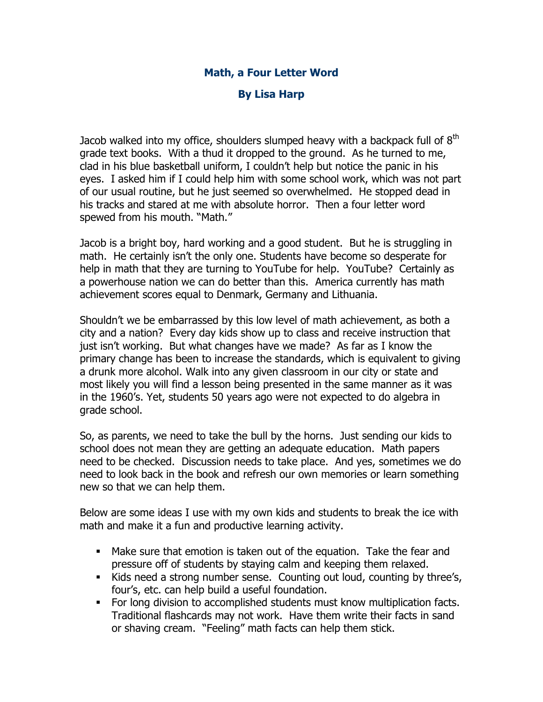## **Math, a Four Letter Word**

## **By Lisa Harp**

Jacob walked into my office, shoulders slumped heavy with a backpack full of  $8<sup>th</sup>$ grade text books. With a thud it dropped to the ground. As he turned to me, clad in his blue basketball uniform, I couldn't help but notice the panic in his eyes. I asked him if I could help him with some school work, which was not part of our usual routine, but he just seemed so overwhelmed. He stopped dead in his tracks and stared at me with absolute horror. Then a four letter word spewed from his mouth. "Math."

Jacob is a bright boy, hard working and a good student. But he is struggling in math. He certainly isn't the only one. Students have become so desperate for help in math that they are turning to YouTube for help. YouTube? Certainly as a powerhouse nation we can do better than this. America currently has math achievement scores equal to Denmark, Germany and Lithuania.

Shouldn't we be embarrassed by this low level of math achievement, as both a city and a nation? Every day kids show up to class and receive instruction that just isn't working. But what changes have we made? As far as I know the primary change has been to increase the standards, which is equivalent to giving a drunk more alcohol. Walk into any given classroom in our city or state and most likely you will find a lesson being presented in the same manner as it was in the 1960's. Yet, students 50 years ago were not expected to do algebra in grade school.

So, as parents, we need to take the bull by the horns. Just sending our kids to school does not mean they are getting an adequate education. Math papers need to be checked. Discussion needs to take place. And yes, sometimes we do need to look back in the book and refresh our own memories or learn something new so that we can help them.

Below are some ideas I use with my own kids and students to break the ice with math and make it a fun and productive learning activity.

- Make sure that emotion is taken out of the equation. Take the fear and pressure off of students by staying calm and keeping them relaxed.
- Kids need a strong number sense. Counting out loud, counting by three's, four's, etc. can help build a useful foundation.
- For long division to accomplished students must know multiplication facts. Traditional flashcards may not work. Have them write their facts in sand or shaving cream. "Feeling" math facts can help them stick.